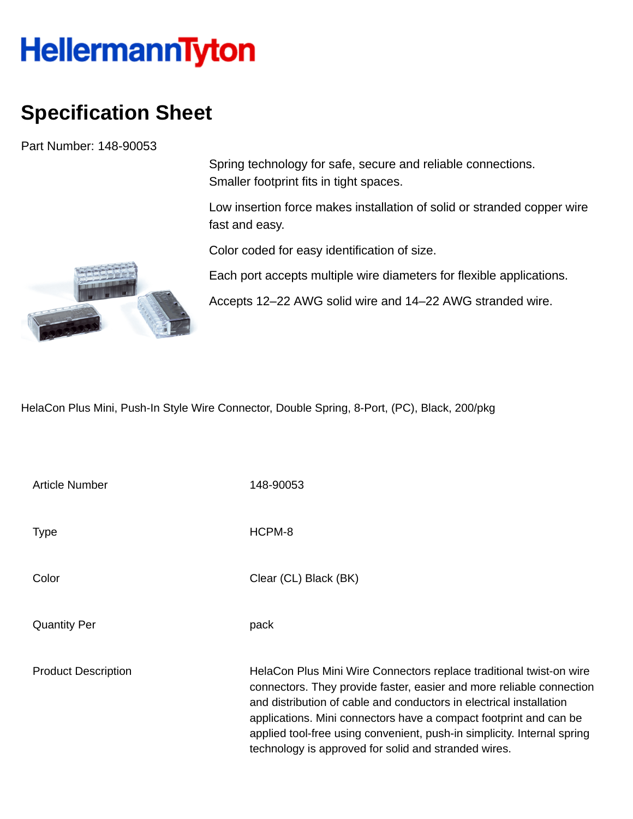## **HellermannTyton**

## **Specification Sheet**

Part Number: 148-90053

Spring technology for safe, secure and reliable connections. Smaller footprint fits in tight spaces.

Low insertion force makes installation of solid or stranded copper wire fast and easy.

Color coded for easy identification of size.

Each port accepts multiple wire diameters for flexible applications.

Accepts 12–22 AWG solid wire and 14–22 AWG stranded wire.

HelaCon Plus Mini, Push-In Style Wire Connector, Double Spring, 8-Port, (PC), Black, 200/pkg

| <b>Article Number</b>      | 148-90053                                                                                                                                                                                                                                                                                                                                                                                                                  |
|----------------------------|----------------------------------------------------------------------------------------------------------------------------------------------------------------------------------------------------------------------------------------------------------------------------------------------------------------------------------------------------------------------------------------------------------------------------|
| <b>Type</b>                | HCPM-8                                                                                                                                                                                                                                                                                                                                                                                                                     |
| Color                      | Clear (CL) Black (BK)                                                                                                                                                                                                                                                                                                                                                                                                      |
| <b>Quantity Per</b>        | pack                                                                                                                                                                                                                                                                                                                                                                                                                       |
| <b>Product Description</b> | HelaCon Plus Mini Wire Connectors replace traditional twist-on wire<br>connectors. They provide faster, easier and more reliable connection<br>and distribution of cable and conductors in electrical installation<br>applications. Mini connectors have a compact footprint and can be<br>applied tool-free using convenient, push-in simplicity. Internal spring<br>technology is approved for solid and stranded wires. |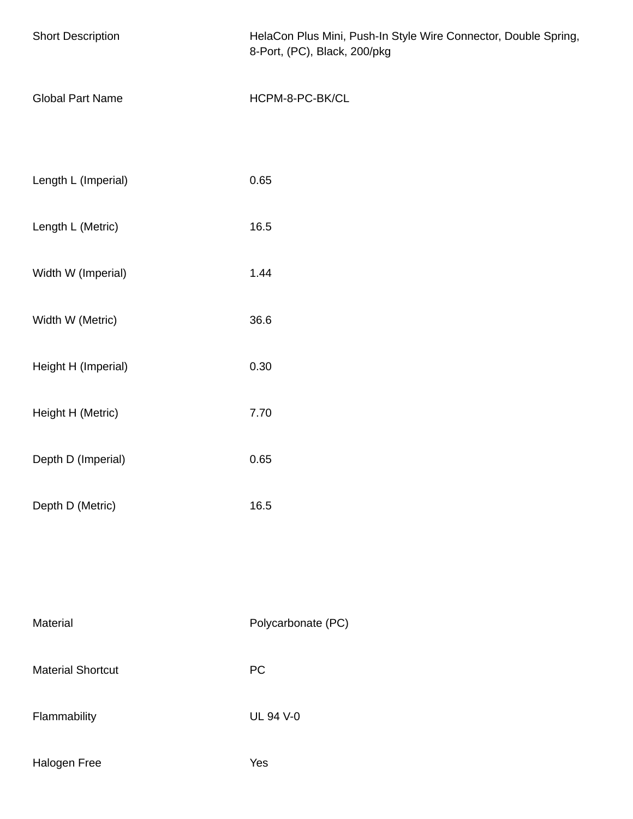| <b>Short Description</b> | HelaCon Plus Mini, Push-In Style Wire Connector, Double Spring,<br>8-Port, (PC), Black, 200/pkg |
|--------------------------|-------------------------------------------------------------------------------------------------|
| <b>Global Part Name</b>  | HCPM-8-PC-BK/CL                                                                                 |
| Length L (Imperial)      | 0.65                                                                                            |
| Length L (Metric)        | 16.5                                                                                            |
| Width W (Imperial)       | 1.44                                                                                            |
| Width W (Metric)         | 36.6                                                                                            |
| Height H (Imperial)      | 0.30                                                                                            |
| Height H (Metric)        | 7.70                                                                                            |
| Depth D (Imperial)       | 0.65                                                                                            |
| Depth D (Metric)         | 16.5                                                                                            |
|                          |                                                                                                 |
| Material                 | Polycarbonate (PC)                                                                              |
| <b>Material Shortcut</b> | ${\sf PC}$                                                                                      |
| Flammability             | <b>UL 94 V-0</b>                                                                                |
| Halogen Free             | Yes                                                                                             |